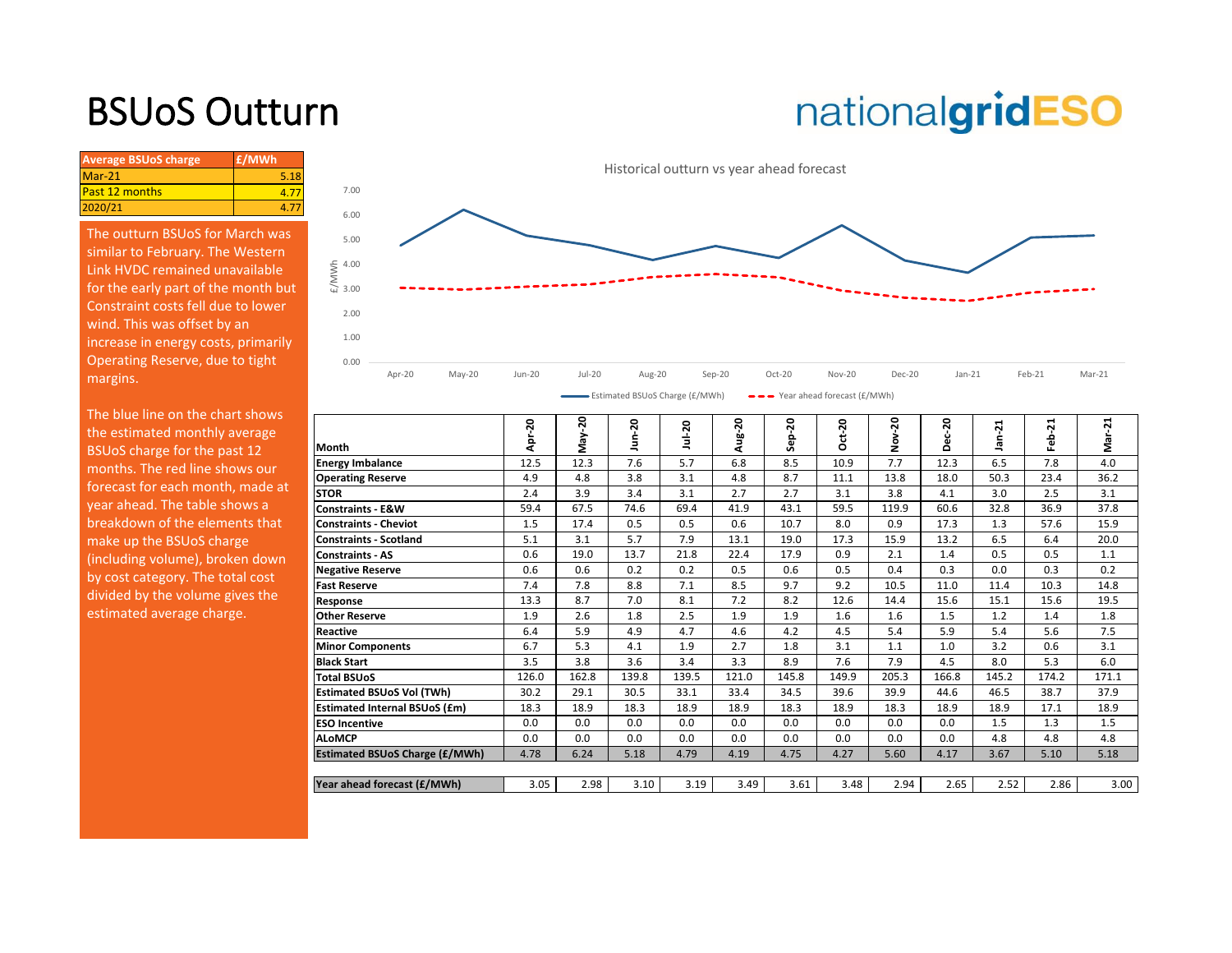## BSUoS Outturn

## nationalgridESO

| <b>Average BSUoS charge</b> | £/MWh |
|-----------------------------|-------|
| $Mar-21$                    | 5.18  |
| <b>Past 12 months</b>       |       |
| 2020/21                     |       |

The outturn BSUoS for March was similar to February. The Western Link HVDC remained unavailable for the early part of the month but Constraint costs fell due to lower wind. This was offset by an increase in energy costs, primarily Operating Reserve, due to tight margins.



| The blue line on the chart shows |                                       |            |         |         |          |        |           |         |        |       |            |        |          |
|----------------------------------|---------------------------------------|------------|---------|---------|----------|--------|-----------|---------|--------|-------|------------|--------|----------|
| the estimated monthly average    |                                       | $-20$<br>훋 | ន<br>λē | 50<br>Ξ | $u - 20$ | Aug-20 | $Step-20$ | $ct-20$ | $20 -$ | ន     | $-21$<br>ᇢ | ដ<br>읍 | -21<br>š |
| BSUoS charge for the past 12     | Month                                 |            | ΣË      |         |          |        |           | Õ       | ġ      | ⌒     |            |        |          |
| months. The red line shows our   | <b>Energy Imbalance</b>               | 12.5       | 12.3    | 7.6     | 5.7      | 6.8    | 8.5       | 10.9    | 7.7    | 12.3  | 6.5        | 7.8    | 4.0      |
| forecast for each month, made at | <b>Operating Reserve</b>              | 4.9        | 4.8     | 3.8     | 3.1      | 4.8    | 8.7       | 11.1    | 13.8   | 18.0  | 50.3       | 23.4   | 36.2     |
|                                  | <b>STOR</b>                           | 2.4        | 3.9     | 3.4     | 3.1      | 2.7    | 2.7       | 3.1     | 3.8    | 4.1   | 3.0        | 2.5    | 3.1      |
| year ahead. The table shows a    | <b>Constraints - E&amp;W</b>          | 59.4       | 67.5    | 74.6    | 69.4     | 41.9   | 43.1      | 59.5    | 119.9  | 60.6  | 32.8       | 36.9   | 37.8     |
| breakdown of the elements that   | <b>Constraints - Cheviot</b>          | 1.5        | 17.4    | 0.5     | 0.5      | 0.6    | 10.7      | 8.0     | 0.9    | 17.3  | 1.3        | 57.6   | 15.9     |
| make up the BSUoS charge         | <b>Constraints - Scotland</b>         | 5.1        | 3.1     | 5.7     | 7.9      | 13.1   | 19.0      | 17.3    | 15.9   | 13.2  | 6.5        | 6.4    | 20.0     |
| (including volume), broken down  | <b>Constraints - AS</b>               | 0.6        | 19.0    | 13.7    | 21.8     | 22.4   | 17.9      | 0.9     | 2.1    | 1.4   | 0.5        | 0.5    | 1.1      |
| by cost category. The total cost | <b>Negative Reserve</b>               | 0.6        | 0.6     | 0.2     | 0.2      | 0.5    | 0.6       | 0.5     | 0.4    | 0.3   | 0.0        | 0.3    | 0.2      |
|                                  | <b>Fast Reserve</b>                   | 7.4        | 7.8     | 8.8     | 7.1      | 8.5    | 9.7       | 9.2     | 10.5   | 11.0  | 11.4       | 10.3   | 14.8     |
| divided by the volume gives the  | Response                              | 13.3       | 8.7     | 7.0     | 8.1      | 7.2    | 8.2       | 12.6    | 14.4   | 15.6  | 15.1       | 15.6   | 19.5     |
| estimated average charge.        | <b>Other Reserve</b>                  | 1.9        | 2.6     | 1.8     | 2.5      | 1.9    | 1.9       | 1.6     | 1.6    | 1.5   | 1.2        | 1.4    | 1.8      |
|                                  | <b>Reactive</b>                       | 6.4        | 5.9     | 4.9     | 4.7      | 4.6    | 4.2       | 4.5     | 5.4    | 5.9   | 5.4        | 5.6    | 7.5      |
|                                  | <b>Minor Components</b>               | 6.7        | 5.3     | 4.1     | 1.9      | 2.7    | 1.8       | 3.1     | 1.1    | 1.0   | 3.2        | 0.6    | 3.1      |
|                                  | <b>Black Start</b>                    | 3.5        | 3.8     | 3.6     | 3.4      | 3.3    | 8.9       | 7.6     | 7.9    | 4.5   | 8.0        | 5.3    | 6.0      |
|                                  | <b>Total BSUoS</b>                    | 126.0      | 162.8   | 139.8   | 139.5    | 121.0  | 145.8     | 149.9   | 205.3  | 166.8 | 145.2      | 174.2  | 171.1    |
|                                  | <b>Estimated BSUoS Vol (TWh)</b>      | 30.2       | 29.1    | 30.5    | 33.1     | 33.4   | 34.5      | 39.6    | 39.9   | 44.6  | 46.5       | 38.7   | 37.9     |
|                                  | <b>Estimated Internal BSUoS (£m)</b>  | 18.3       | 18.9    | 18.3    | 18.9     | 18.9   | 18.3      | 18.9    | 18.3   | 18.9  | 18.9       | 17.1   | 18.9     |
|                                  | <b>ESO Incentive</b>                  | 0.0        | 0.0     | 0.0     | 0.0      | 0.0    | 0.0       | 0.0     | 0.0    | 0.0   | 1.5        | 1.3    | 1.5      |
|                                  | <b>ALoMCP</b>                         | 0.0        | 0.0     | 0.0     | 0.0      | 0.0    | 0.0       | 0.0     | 0.0    | 0.0   | 4.8        | 4.8    | 4.8      |
|                                  | <b>Estimated BSUoS Charge (£/MWh)</b> | 4.78       | 6.24    | 5.18    | 4.79     | 4.19   | 4.75      | 4.27    | 5.60   | 4.17  | 3.67       | 5.10   | 5.18     |
|                                  |                                       |            |         |         |          |        |           |         |        |       |            |        |          |
|                                  | Year ahead forecast (£/MWh)           | 3.05       | 2.98    | 3.10    | 3.19     | 3.49   | 3.61      | 3.48    | 2.94   | 2.65  | 2.52       | 2.86   | 3.00     |
|                                  |                                       |            |         |         |          |        |           |         |        |       |            |        |          |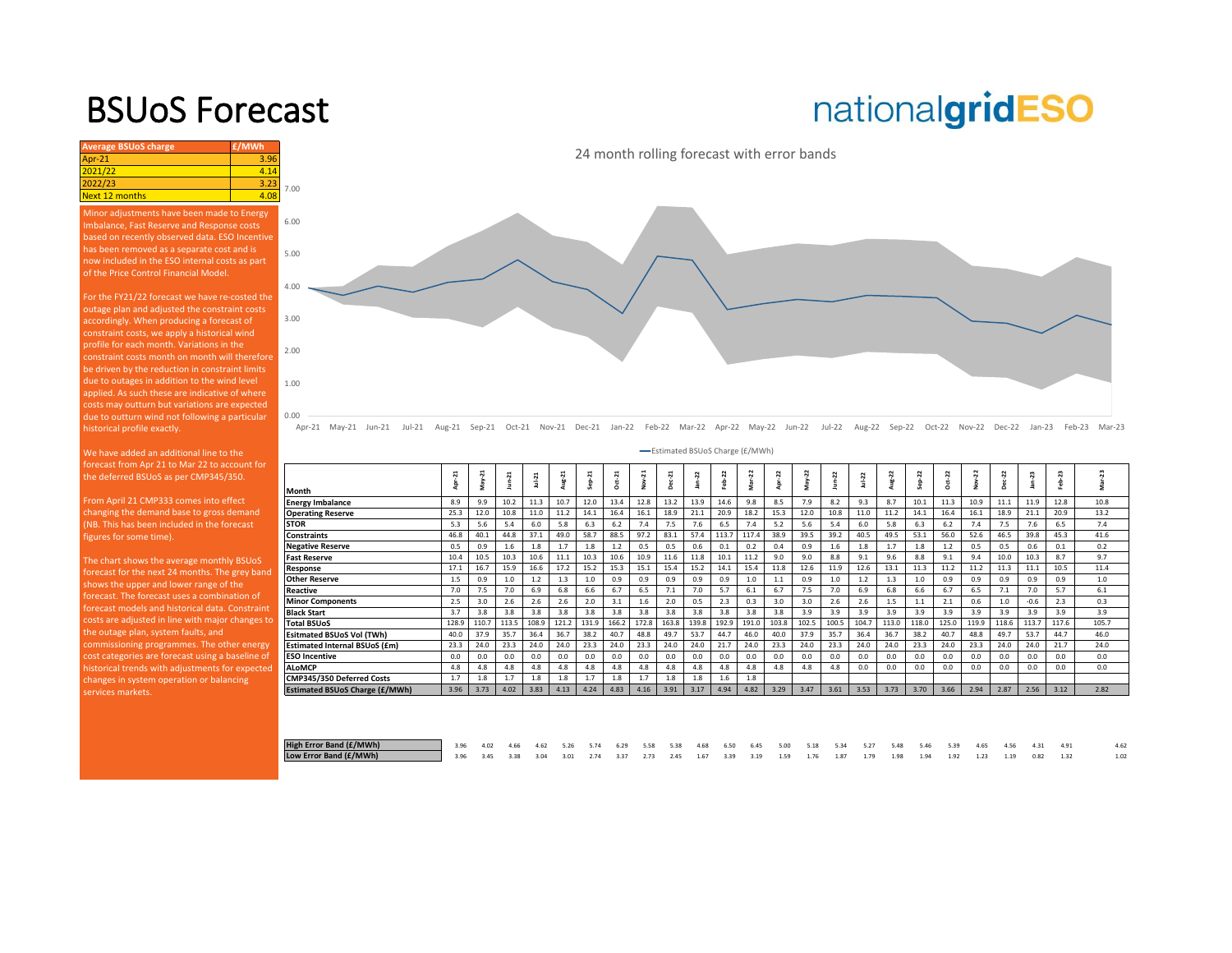## BSUoS Forecast

### **Average BSUoS charge £/MWh £/MWh** Apr-21 3.96  $021/22$ 022/23<br>lext 12 months desired at 2008 **Next 12 months**

Minor adjustments have been made to Energy Imbalance, Fast Reserve and Response costs based on recently observed data. ESO Incentive of the Price Control Financial Model.

For the FY21/22 forecast we have re-costed the outage plan and adjusted the constraint costs accordingly. When producing a forecast of constraint costs, we apply a historical wind profile for each month. Variations in the due to outages in addition to the wind level applied. As such these are indicative of where costs may outturn but variations are expected due to outturn wind not following a particular historical profile exactly.

the deferred BSUoS as per CMP345/350.

From April 21 CMP333 comes into effect changing the demand base to gross demand (NB. This has been included in the forecast figures for some time).

The chart shows the average monthly BSUoS forecast for the next 24 months. The grey band shows the upper and lower range of the forecast. The forecast uses a combination of forecast models and historical data. Constraint [costs are adjusted in line with major changes to](https://www.nationalgrideso.com/charging/balancing-services-use-system-bsuos-charges)  the outage plan, system faults, and commissioning programmes. The other energy cost categories are forecast using a baseline of historical trends with adjustments for expected A changes in system operation or balancing services markets.

# nationalgridESO



24 month rolling forecast with error bands

Apr-21 May-21 Jun-21 Jul-21 Aug-21 Sep-21 Oct-21 Nov-21 Dec-21 Jan-22 Feb-22 Mar-22 Apr-22 May-22 Jun-22 Jul-22 Aug-22 Sep-22 Oct-22 Nov-22 Dec-22 Jan-23 Feb-23 Mar-23

|                                  | -Estimated BSUoS Charge (£/MWh) |           |                  |          |                  |          |        |                  |        |         |        |        |       |         |       |          |          |          |       |       |        |         |        |         |  |
|----------------------------------|---------------------------------|-----------|------------------|----------|------------------|----------|--------|------------------|--------|---------|--------|--------|-------|---------|-------|----------|----------|----------|-------|-------|--------|---------|--------|---------|--|
| Month                            | Apr-21                          | ដ<br>May- | $\overline{1}$   | $Jul-21$ | <b>Z</b><br>Aug- | $Sep-21$ | ដ<br>ō | $\ddot{ }$<br>∳° | Dec-21 | 22<br>ġ | Feb-22 | Mar-22 | z     | 22<br>≿ |       | $Jul-22$ | $Aug-22$ | $Sep-22$ | ģ     | 22    | 2<br>å | 23<br>â | Feb-23 | Vlar-23 |  |
| Energy Imbalance                 | 8.9                             | 9.9       | 10.2             | 11.3     | 10.7             | 12.0     | 13.4   | 12.8             | 13.2   | 13.9    | 14.6   | 9.8    | 8.5   | 7.9     | 8.2   | 9.3      | 8.7      | 10.1     | 11.3  | 10.9  | 11.1   | 11.9    | 12.8   | 10.8    |  |
| <b>Operating Reserve</b>         | 25.3                            | 12.0      | 10.8             | 11.0     | 11.2             | 14.1     | 16.4   | 16.1             | 18.9   | 21.1    | 20.9   | 18.2   | 15.3  | 12.0    | 10.8  | 11.0     | 11.2     | 14.1     | 16.4  | 16.1  | 18.9   | 21.1    | 20.9   | 13.2    |  |
| <b>STOR</b>                      | 5.3                             | 5.6       | 5.4              | 6.0      | 5.8              | 6.3      | 6.2    | 7.4              | 7.5    | 7.6     | 6.5    | 7.4    | 5.2   | 5.6     | 5.4   | 6.0      | 5.8      | 6.3      | 6.2   | 7.4   | 7.5    | 7.6     | 6.5    | 7.4     |  |
| Constraints                      | 46.8                            | 40.1      | 44.8             | 37.1     | 49.0             | 58.7     | 88.5   | 97.2             | 83.1   | 57.4    | 113.7  | 117.4  | 38.9  | 39.5    | 39.2  | 40.5     | 49.5     | 53.1     | 56.0  | 52.6  | 46.5   | 39.8    | 45.3   | 41.6    |  |
| <b>Negative Reserve</b>          | 0.5                             | 0.9       | $1.6\phantom{0}$ | 1.8      | 1.7              | 1.8      | 1.2    | 0.5              | 0.5    | 0.6     | 0.1    | 0.2    | 0.4   | 0.9     | 1.6   | 1.8      | 1.7      | 1.8      | 1.2   | 0.5   | 0.5    | 0.6     | 0.1    | 0.2     |  |
| Fast Reserve                     | 10.4                            | 10.5      | 10.3             | 10.6     | 11.1             | 10.3     | 10.6   | 10.9             | 11.6   | 11.8    | 10.1   | 11.2   | 9.0   | 9.0     | 8.8   | 9.1      | 9.6      | 8.8      | 9.1   | 9.4   | 10.0   | 10.3    | 8.7    | 9.7     |  |
| Response                         | 17.1                            | 16.7      | 15.9             | 16.6     | 17.2             | 15.2     | 15.3   | 15.1             | 15.4   | 15.2    | 14.1   | 15.4   | 11.8  | 12.6    | 11.9  | 12.6     | 13.1     | 11.3     | 11.2  | 11.2  | 11.3   | 11.1    | 10.5   | 11.4    |  |
| <b>Other Reserve</b>             | 1.5                             | 0.9       | 1.0              | 1.2      | 1.3              | 1.0      | 0.9    | 0.9              | 0.9    | 0.9     | 0.9    | 1.0    | 1.1   | 0.9     | 1.0   | 1.2      | 1.3      | 1.0      | 0.9   | 0.9   | 0.9    | 0.9     | 0.9    | 1.0     |  |
| Reactive                         | 7.0                             | 7.5       | 7.0              | 6.9      | 6.8              | 6.6      | 6.7    | 6.5              | 7.1    | 7.0     | 5.7    | 6.1    | 6.7   | 7.5     | 7.0   | 6.9      | 6.8      | 6.6      | 6.7   | 6.5   | 7.1    | 7.0     | 5.7    | 6.1     |  |
| <b>Minor Components</b>          | 2.5                             | 3.0       | 2.6              | 2.6      | 2.6              | 2.0      | 3.1    | 1.6              | 2.0    | 0.5     | 2.3    | 0.3    | 3.0   | 3.0     | 2.6   | 2.6      | 1.5      | 1.1      | 2.1   | 0.6   | 1.0    | $-0.6$  | 2.3    | 0.3     |  |
| Black Start                      | 3.7                             | 3.8       | 3.8              | 3.8      | 3.8              | 3.8      | 3.8    | 3.8              | 3.8    | 3.8     | 3.8    | 3.8    | 3.8   | 3.9     | 3.9   | 3.9      | 3.9      | 3.9      | 3.9   | 3.9   | 3.9    | 3.9     | 3.9    | 3.9     |  |
| <b>Total BSUoS</b>               | 128.9                           | 110.7     | 113.5            | 108.9    | 121.2            | 131.9    | 166.2  | 172.8            | 163.8  | 139.8   | 192.9  | 191.0  | 103.8 | 102.5   | 100.5 | 104.7    | 113.0    | 118.0    | 125.0 | 119.9 | 118.6  | 113.7   | 117.6  | 105.7   |  |
| <b>Esitmated BSUoS Vol (TWh)</b> | 40.0                            | 37.9      | 35.7             | 36.4     | 36.7             | 38.2     | 40.7   | 48.8             | 49.7   | 53.7    | 44.7   | 46.0   | 40.0  | 37.9    | 35.7  | 36.4     | 36.7     | 38.2     | 40.7  | 48.8  | 49.7   | 53.7    | 44.7   | 46.0    |  |
| Estimated Internal BSUoS (£m)    | 23.3                            | 24.0      | 23.3             | 24.0     | 24.0             | 23.3     | 24.0   | 23.3             | 24.0   | 24.0    | 21.7   | 24.0   | 23.3  | 24.0    | 23.3  | 24.0     | 24.0     | 23.3     | 24.0  | 23.3  | 24.0   | 24.0    | 21.7   | 24.0    |  |
| <b>ESO Incentive</b>             | 0.0                             | 0.0       | 0.0              | 0.0      | 0.0              | 0.0      | 0.0    | 0.0              | 0.0    | 0.0     | 0.0    | 0.0    | 0.0   | 0.0     | 0.0   | 0.0      | 0.0      | 0.0      | 0.0   | 0.0   | 0.0    | 0.0     | 0.0    | 0.0     |  |
| <b>ALoMCP</b>                    | 4.8                             | 4.8       | 4.8              | 4.8      | 4.8              | 4.8      | 4.8    | 4.8              | 4.8    | 4.8     | 4.8    | 4.8    | 4.8   | 4.8     | 4.8   | 0.0      | 0.0      | 0.0      | 0.0   | 0.0   | 0.0    | 0.0     | 0.0    | 0.0     |  |
| CMP345/350 Deferred Costs        | 1.7                             | 1.8       |                  | 1.8      | 1.8              | 1.7      | 1.8    | 1.7              | 1.8    | 1.8     | 1.6    | 1.8    |       |         |       |          |          |          |       |       |        |         |        |         |  |
| Estimated BSUoS Charge (£/MWh)   | 3.96                            | 3.73      | 4.02             | 3.83     | 4.13             | 4.24     | 4.83   | 4.16             | 3.91   | 3.17    | 4.94   | 4.82   | 3.29  | 3.47    | 3.61  | 3.53     | 3.73     | 3.70     | 3.66  | 2.94  | 2.87   | 2.56    | 3.12   | 2.82    |  |
|                                  |                                 |           |                  |          |                  |          |        |                  |        |         |        |        |       |         |       |          |          |          |       |       |        |         |        |         |  |

| High Error Band (£/MWh) | 1 3.96 4.02 4.66 4.62 5.26 5.74 6.29 5.58 5.38 4.68 6.50 6.45 5.00 5.18 5.34 5.27 5.48 5.46 5.39 4.65 4.56 4.31 4.91 |  |  |  |  |  |  |  |  |  |  |  |  |
|-------------------------|----------------------------------------------------------------------------------------------------------------------|--|--|--|--|--|--|--|--|--|--|--|--|
| Low Error Band (£/MWh)  | 3.96 3.45 3.38 3.04 3.01 2.74 3.37 2.73 2.45 1.67 3.39 3.19 1.59 1.76 1.87 1.79 1.98 1.94 1.92 1.23 1.19 0.82 1.32   |  |  |  |  |  |  |  |  |  |  |  |  |